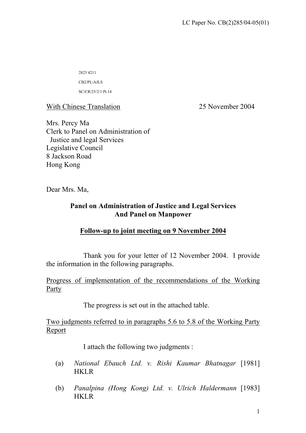2825 4211

CB2/PL/AJLS

SC/CR/25/2/1 Pt.14

With Chinese Translation 25 November 2004

Mrs. Percy Ma Clerk to Panel on Administration of Justice and legal Services Legislative Council 8 Jackson Road Hong Kong

Dear Mrs. Ma,

# **Panel on Administration of Justice and Legal Services And Panel on Manpower**

# **Follow-up to joint meeting on 9 November 2004**

Thank you for your letter of 12 November 2004. I provide the information in the following paragraphs.

Progress of implementation of the recommendations of the Working Party

The progress is set out in the attached table.

Two judgments referred to in paragraphs 5.6 to 5.8 of the Working Party Report

I attach the following two judgments :

- (a) *National Ebauch Ltd. v. Rishi Kaumar Bhatnagar* [1981] HKLR
- (b) *Panalpina (Hong Kong) Ltd. v. Ulrich Haldermann* [1983] HKLR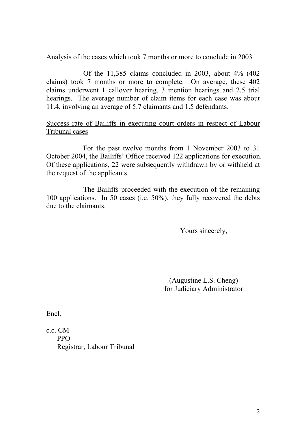# Analysis of the cases which took 7 months or more to conclude in 2003

Of the 11,385 claims concluded in 2003, about 4% (402 claims) took 7 months or more to complete. On average, these 402 claims underwent 1 callover hearing, 3 mention hearings and 2.5 trial hearings. The average number of claim items for each case was about 11.4, involving an average of 5.7 claimants and 1.5 defendants.

## Success rate of Bailiffs in executing court orders in respect of Labour Tribunal cases

For the past twelve months from 1 November 2003 to 31 October 2004, the Bailiffs' Office received 122 applications for execution. Of these applications, 22 were subsequently withdrawn by or withheld at the request of the applicants.

The Bailiffs proceeded with the execution of the remaining 100 applications. In 50 cases (i.e. 50%), they fully recovered the debts due to the claimants.

Yours sincerely,

 (Augustine L.S. Cheng) for Judiciary Administrator

Encl.

c.c. CM PPO Registrar, Labour Tribunal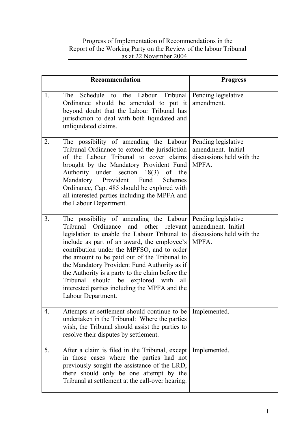## Progress of Implementation of Recommendations in the Report of the Working Party on the Review of the labour Tribunal as at 22 November 2004

|                | <b>Recommendation</b>                                                                                                                                                                                                                                                                                                                                                                                                                                                                                 | <b>Progress</b>                                                                 |
|----------------|-------------------------------------------------------------------------------------------------------------------------------------------------------------------------------------------------------------------------------------------------------------------------------------------------------------------------------------------------------------------------------------------------------------------------------------------------------------------------------------------------------|---------------------------------------------------------------------------------|
| 1.             | Schedule to the Labour Tribunal<br>The<br>Ordinance should be amended to put it<br>beyond doubt that the Labour Tribunal has<br>jurisdiction to deal with both liquidated and<br>unliquidated claims.                                                                                                                                                                                                                                                                                                 | Pending legislative<br>amendment.                                               |
| 2.             | The possibility of amending the Labour<br>Tribunal Ordinance to extend the jurisdiction<br>of the Labour Tribunal to cover claims<br>brought by the Mandatory Provident Fund<br>Authority under section<br>18(3)<br>of the<br>Mandatory Provident Fund<br><b>Schemes</b><br>Ordinance, Cap. 485 should be explored with<br>all interested parties including the MPFA and<br>the Labour Department.                                                                                                    | Pending legislative<br>amendment. Initial<br>discussions held with the<br>MPFA. |
| 3 <sub>1</sub> | The possibility of amending the Labour<br>Ordinance and other relevant<br>Tribunal<br>legislation to enable the Labour Tribunal to<br>include as part of an award, the employee's<br>contribution under the MPFSO, and to order<br>the amount to be paid out of the Tribunal to<br>the Mandatory Provident Fund Authority as if<br>the Authority is a party to the claim before the<br>Tribunal should be explored with<br>all<br>interested parties including the MPFA and the<br>Labour Department. | Pending legislative<br>amendment. Initial<br>discussions held with the<br>MPFA. |
| 4.             | Attempts at settlement should continue to be<br>undertaken in the Tribunal: Where the parties<br>wish, the Tribunal should assist the parties to<br>resolve their disputes by settlement.                                                                                                                                                                                                                                                                                                             | Implemented.                                                                    |
| 5.             | After a claim is filed in the Tribunal, except<br>in those cases where the parties had not<br>previously sought the assistance of the LRD,<br>there should only be one attempt by the<br>Tribunal at settlement at the call-over hearing.                                                                                                                                                                                                                                                             | Implemented.                                                                    |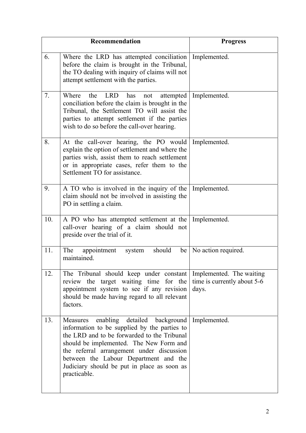|     | Recommendation                                                                                                                                                                                                                                                                                                                                       | <b>Progress</b>                                                  |
|-----|------------------------------------------------------------------------------------------------------------------------------------------------------------------------------------------------------------------------------------------------------------------------------------------------------------------------------------------------------|------------------------------------------------------------------|
| 6.  | Where the LRD has attempted conciliation   Implemented.<br>before the claim is brought in the Tribunal,<br>the TO dealing with inquiry of claims will not<br>attempt settlement with the parties.                                                                                                                                                    |                                                                  |
| 7.  | the<br><b>LRD</b><br>Where<br>has<br>attempted<br>not<br>conciliation before the claim is brought in the<br>Tribunal, the Settlement TO will assist the<br>parties to attempt settlement if the parties<br>wish to do so before the call-over hearing.                                                                                               | Implemented.                                                     |
| 8.  | At the call-over hearing, the PO would<br>explain the option of settlement and where the<br>parties wish, assist them to reach settlement<br>or in appropriate cases, refer them to the<br>Settlement TO for assistance.                                                                                                                             | Implemented.                                                     |
| 9.  | A TO who is involved in the inquiry of the<br>claim should not be involved in assisting the<br>PO in settling a claim.                                                                                                                                                                                                                               | Implemented.                                                     |
| 10. | A PO who has attempted settlement at the<br>call-over hearing of a claim should not<br>preside over the trial of it.                                                                                                                                                                                                                                 | Implemented.                                                     |
| 11. | should<br>The appointment<br>system<br>be<br>maintained.                                                                                                                                                                                                                                                                                             | No action required.                                              |
| 12. | The Tribunal should keep under constant<br>review the target waiting time for the<br>appointment system to see if any revision<br>should be made having regard to all relevant<br>factors.                                                                                                                                                           | Implemented. The waiting<br>time is currently about 5-6<br>days. |
| 13. | enabling detailed background Implemented.<br>Measures<br>information to be supplied by the parties to<br>the LRD and to be forwarded to the Tribunal<br>should be implemented. The New Form and<br>the referral arrangement under discussion<br>between the Labour Department and the<br>Judiciary should be put in place as soon as<br>practicable. |                                                                  |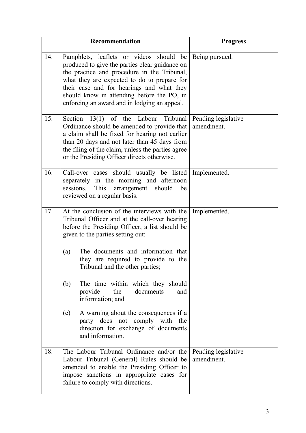|     | Recommendation                                                                                                                                                                                                                                                                                                                                    | <b>Progress</b>                   |
|-----|---------------------------------------------------------------------------------------------------------------------------------------------------------------------------------------------------------------------------------------------------------------------------------------------------------------------------------------------------|-----------------------------------|
| 14. | Pamphlets, leaflets or videos should be Being pursued.<br>produced to give the parties clear guidance on<br>the practice and procedure in the Tribunal,<br>what they are expected to do to prepare for<br>their case and for hearings and what they<br>should know in attending before the PO, in<br>enforcing an award and in lodging an appeal. |                                   |
| 15. | Section $13(1)$ of the Labour<br>Tribunal<br>Ordinance should be amended to provide that<br>a claim shall be fixed for hearing not earlier<br>than 20 days and not later than 45 days from<br>the filing of the claim, unless the parties agree<br>or the Presiding Officer directs otherwise.                                                    | Pending legislative<br>amendment. |
| 16. | Call-over cases should usually be listed<br>separately in the morning and afternoon<br>sessions.<br>This<br>arrangement<br>should<br>be<br>reviewed on a regular basis.                                                                                                                                                                           | Implemented.                      |
| 17. | At the conclusion of the interviews with the<br>Tribunal Officer and at the call-over hearing<br>before the Presiding Officer, a list should be<br>given to the parties setting out:                                                                                                                                                              | Implemented.                      |
|     | The documents and information that<br>(a)<br>they are required to provide to the<br>Tribunal and the other parties;                                                                                                                                                                                                                               |                                   |
|     | The time within which they should<br>(b)<br>the<br>documents<br>provide<br>and<br>information; and                                                                                                                                                                                                                                                |                                   |
|     | A warning about the consequences if a<br>(c)<br>party does not comply with the<br>direction for exchange of documents<br>and information.                                                                                                                                                                                                         |                                   |
| 18. | The Labour Tribunal Ordinance and/or the<br>Labour Tribunal (General) Rules should be<br>amended to enable the Presiding Officer to<br>impose sanctions in appropriate cases for<br>failure to comply with directions.                                                                                                                            | Pending legislative<br>amendment. |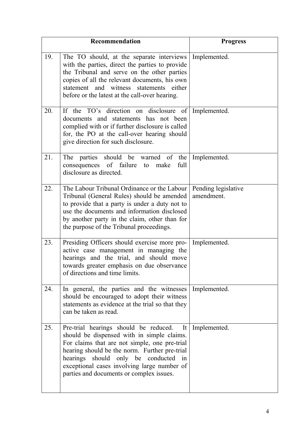|     | Recommendation                                                                                                                                                                                                                                                                                                                                 | <b>Progress</b>                   |
|-----|------------------------------------------------------------------------------------------------------------------------------------------------------------------------------------------------------------------------------------------------------------------------------------------------------------------------------------------------|-----------------------------------|
| 19. | The TO should, at the separate interviews<br>with the parties, direct the parties to provide<br>the Tribunal and serve on the other parties<br>copies of all the relevant documents, his own<br>statement and witness statements either<br>before or the latest at the call-over hearing.                                                      | Implemented.                      |
| 20. | If the TO's direction on disclosure of Implemented.<br>documents and statements has not been<br>complied with or if further disclosure is called<br>for, the PO at the call-over hearing should<br>give direction for such disclosure.                                                                                                         |                                   |
| 21. | The parties should be warned of<br>the  <br>consequences of failure to<br>full<br>make<br>disclosure as directed.                                                                                                                                                                                                                              | Implemented.                      |
| 22. | The Labour Tribunal Ordinance or the Labour<br>Tribunal (General Rules) should be amended<br>to provide that a party is under a duty not to<br>use the documents and information disclosed<br>by another party in the claim, other than for<br>the purpose of the Tribunal proceedings.                                                        | Pending legislative<br>amendment. |
| 23. | Presiding Officers should exercise more pro-<br>active case management in managing the<br>hearings and the trial, and should move<br>towards greater emphasis on due observance<br>of directions and time limits.                                                                                                                              | Implemented.                      |
| 24. | In general, the parties and the witnesses<br>should be encouraged to adopt their witness<br>statements as evidence at the trial so that they<br>can be taken as read.                                                                                                                                                                          | Implemented.                      |
| 25. | Pre-trial hearings should be reduced.<br>It <sup>1</sup><br>should be dispensed with in simple claims.<br>For claims that are not simple, one pre-trial<br>hearing should be the norm. Further pre-trial<br>hearings should only be conducted<br>in<br>exceptional cases involving large number of<br>parties and documents or complex issues. | Implemented.                      |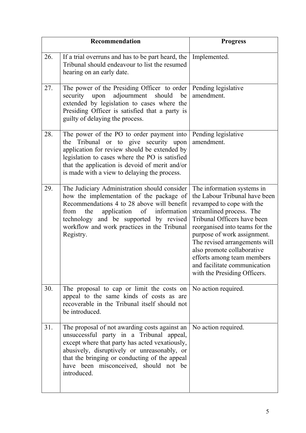|     | Recommendation                                                                                                                                                                                                                                                                                      | <b>Progress</b>                                                                                                                                                                                                                                                                                                                                                                   |
|-----|-----------------------------------------------------------------------------------------------------------------------------------------------------------------------------------------------------------------------------------------------------------------------------------------------------|-----------------------------------------------------------------------------------------------------------------------------------------------------------------------------------------------------------------------------------------------------------------------------------------------------------------------------------------------------------------------------------|
| 26. | If a trial overruns and has to be part heard, the<br>Tribunal should endeavour to list the resumed<br>hearing on an early date.                                                                                                                                                                     | Implemented.                                                                                                                                                                                                                                                                                                                                                                      |
| 27. | The power of the Presiding Officer to order<br>adjournment<br>security upon<br>should<br>be<br>extended by legislation to cases where the<br>Presiding Officer is satisfied that a party is<br>guilty of delaying the process.                                                                      | Pending legislative<br>amendment.                                                                                                                                                                                                                                                                                                                                                 |
| 28. | The power of the PO to order payment into<br>Tribunal or to give security upon<br>the<br>application for review should be extended by<br>legislation to cases where the PO is satisfied<br>that the application is devoid of merit and/or<br>is made with a view to delaying the process.           | Pending legislative<br>amendment.                                                                                                                                                                                                                                                                                                                                                 |
| 29. | The Judiciary Administration should consider<br>how the implementation of the package of<br>Recommendations 4 to 28 above will benefit<br>application of information<br>from<br>the<br>technology and be supported by revised<br>workflow and work practices in the Tribunal<br>Registry.           | The information systems in<br>the Labour Tribunal have been<br>revamped to cope with the<br>streamlined process. The<br>Tribunal Officers have been<br>reorganised into teams for the<br>purpose of work assignment.<br>The revised arrangements will<br>also promote collaborative<br>efforts among team members<br>and facilitate communication<br>with the Presiding Officers. |
| 30. | The proposal to cap or limit the costs on $\vert$ No action required.<br>appeal to the same kinds of costs as are<br>recoverable in the Tribunal itself should not<br>be introduced.                                                                                                                |                                                                                                                                                                                                                                                                                                                                                                                   |
| 31. | The proposal of not awarding costs against an<br>unsuccessful party in a Tribunal appeal,<br>except where that party has acted vexatiously,<br>abusively, disruptively or unreasonably, or<br>that the bringing or conducting of the appeal<br>have been misconceived, should not be<br>introduced. | No action required.                                                                                                                                                                                                                                                                                                                                                               |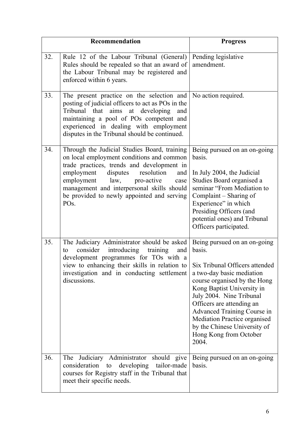|     | <b>Recommendation</b>                                                                                                                                                                                                                                                                                                                      | <b>Progress</b>                                                                                                                                                                                                                                                                                                              |
|-----|--------------------------------------------------------------------------------------------------------------------------------------------------------------------------------------------------------------------------------------------------------------------------------------------------------------------------------------------|------------------------------------------------------------------------------------------------------------------------------------------------------------------------------------------------------------------------------------------------------------------------------------------------------------------------------|
| 32. | Rule 12 of the Labour Tribunal (General)<br>Rules should be repealed so that an award of<br>the Labour Tribunal may be registered and<br>enforced within 6 years.                                                                                                                                                                          | Pending legislative<br>amendment.                                                                                                                                                                                                                                                                                            |
| 33. | The present practice on the selection and<br>posting of judicial officers to act as POs in the<br>Tribunal that aims<br>at developing<br>and<br>maintaining a pool of POs competent and<br>experienced in dealing with employment<br>disputes in the Tribunal should be continued.                                                         | No action required.                                                                                                                                                                                                                                                                                                          |
| 34. | Through the Judicial Studies Board, training<br>on local employment conditions and common<br>trade practices, trends and development in<br>employment<br>disputes resolution<br>and<br>employment law, pro-active<br>case<br>management and interpersonal skills should<br>be provided to newly appointed and serving<br>PO <sub>s</sub> . | Being pursued on an on-going<br>basis.<br>In July 2004, the Judicial<br>Studies Board organised a<br>seminar "From Mediation to<br>Complaint – Sharing of<br>Experience" in which<br>Presiding Officers (and<br>potential ones) and Tribunal<br>Officers participated.                                                       |
| 35. | The Judiciary Administrator should be asked<br>consider introducing<br>training<br>and<br>to<br>development programmes for TOs with a<br>view to enhancing their skills in relation to Six Tribunal Officers attended<br>investigation and in conducting settlement<br>discussions.                                                        | Being pursued on an on-going<br>basis.<br>a two-day basic mediation<br>course organised by the Hong<br>Kong Baptist University in<br>July 2004. Nine Tribunal<br>Officers are attending an<br>Advanced Training Course in<br>Mediation Practice organised<br>by the Chinese University of<br>Hong Kong from October<br>2004. |
| 36. | The Judiciary Administrator should give<br>developing tailor-made<br>consideration to<br>courses for Registry staff in the Tribunal that<br>meet their specific needs.                                                                                                                                                                     | Being pursued on an on-going<br>basis.                                                                                                                                                                                                                                                                                       |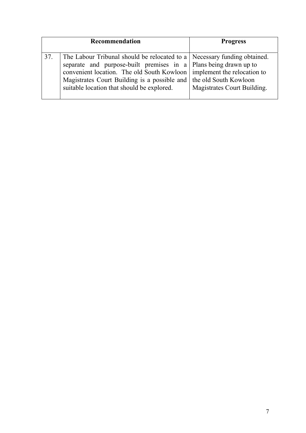|     | Recommendation                                                                                                                                                                       | <b>Progress</b>                                                                                                                                                                       |
|-----|--------------------------------------------------------------------------------------------------------------------------------------------------------------------------------------|---------------------------------------------------------------------------------------------------------------------------------------------------------------------------------------|
| 37. | separate and purpose-built premises in a Plans being drawn up to<br>Magistrates Court Building is a possible and the old South Kowloon<br>suitable location that should be explored. | The Labour Tribunal should be relocated to a   Necessary funding obtained.<br>convenient location. The old South Kowloon   implement the relocation to<br>Magistrates Court Building. |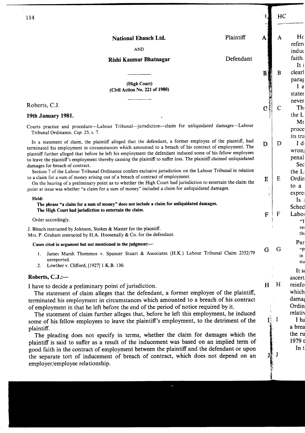|                                                                                                                                                                                                                                                                                                                                                                                                                                                                                                                                                                                                                      |           |                         | HC          |
|----------------------------------------------------------------------------------------------------------------------------------------------------------------------------------------------------------------------------------------------------------------------------------------------------------------------------------------------------------------------------------------------------------------------------------------------------------------------------------------------------------------------------------------------------------------------------------------------------------------------|-----------|-------------------------|-------------|
| 114                                                                                                                                                                                                                                                                                                                                                                                                                                                                                                                                                                                                                  |           |                         |             |
| National Ebauch Ltd.                                                                                                                                                                                                                                                                                                                                                                                                                                                                                                                                                                                                 | Plaintiff | A                       | A           |
| <b>AND</b>                                                                                                                                                                                                                                                                                                                                                                                                                                                                                                                                                                                                           |           |                         |             |
| Rishi Kaumar Bhatnagar                                                                                                                                                                                                                                                                                                                                                                                                                                                                                                                                                                                               | Defendant |                         |             |
|                                                                                                                                                                                                                                                                                                                                                                                                                                                                                                                                                                                                                      |           | B                       | B           |
| (High Court)<br>(Civil Action No. 221 of 1980)                                                                                                                                                                                                                                                                                                                                                                                                                                                                                                                                                                       |           | 「大きなのでもないところをする         |             |
| Roberts, C.J.                                                                                                                                                                                                                                                                                                                                                                                                                                                                                                                                                                                                        |           | $\overline{\mathbf{C}}$ | C           |
| 19th January 1981.                                                                                                                                                                                                                                                                                                                                                                                                                                                                                                                                                                                                   |           |                         |             |
| Courts practice and procedure-Labour Tribunal-jurisdiction-claim for unliquidated damages--Labour<br>Tribunal Ordinance, Cap. 25, s. 7.                                                                                                                                                                                                                                                                                                                                                                                                                                                                              |           |                         |             |
| In a statement of claim, the plaintiff alleged that the defendant, a former employee of the plaintiff, had<br>terminated his employment in circumstances which amounted to a breach of his contract of employment. The<br>plaintiff further alleged that before he left his employment the defendant induced some of his fellow employees<br>to leave the plaintiff's employment thereby causing the plaintiff to suffer loss. The plaintiff claimed unliquidated<br>damages for breach of contract.<br>Section 7 of the Labour Tribunal Ordinance confers exclusive jurisdiction on the Labour Tribunal in relation |           | D                       | D           |
| to a claim for a sum of money arising out of a breach of contract of employment.<br>On the hearing of a preliminary point as to whether the High Court had jurisdiction to entertain the claim the<br>point at issue was whether "a claim for a sum of money" included a claim for unliquidated damages.                                                                                                                                                                                                                                                                                                             |           | É                       | E           |
| Held:<br>The phrase "a claim for a sum of money" does not include a claim for unliquidated damages.                                                                                                                                                                                                                                                                                                                                                                                                                                                                                                                  |           | Ŷ                       |             |
| The High Court had jurisdiction to entertain the claim.                                                                                                                                                                                                                                                                                                                                                                                                                                                                                                                                                              |           | $\mathbf F$             | $\mathbf F$ |
| Order accordingly.                                                                                                                                                                                                                                                                                                                                                                                                                                                                                                                                                                                                   |           |                         |             |
| J. Bleach instructed by Johnson, Stokes & Master for the plaintiff.<br>Mrs. P. Graham instructed by H.A. Hoosenally & Co. for the defendant.                                                                                                                                                                                                                                                                                                                                                                                                                                                                         |           |                         |             |
| Cases cited in argument but not mentioned in the judgment:-                                                                                                                                                                                                                                                                                                                                                                                                                                                                                                                                                          |           |                         |             |
| James Marsh Thommos v. Spancer Stuart & Associates (H.K.) Labour Tribunal Claim 2352/79<br>1.<br>unreported.<br>Lowther v. Clifford, [1927] 1 K.B. 130.<br>2.                                                                                                                                                                                                                                                                                                                                                                                                                                                        |           | $G-G$                   |             |
| Roberts, C.J.:-                                                                                                                                                                                                                                                                                                                                                                                                                                                                                                                                                                                                      |           | $\sim$ 1                |             |
| I have to decide a preliminary point of iurisdiction                                                                                                                                                                                                                                                                                                                                                                                                                                                                                                                                                                 |           | H H                     |             |

I have to decide a preliminary point of jurisdiction.

The statement of claim alleges that the defendant, a former employee of the plaintiff, terminated his employment in circumstances which amounted to a breach of his contract of employment in that he left before the end of the period of notice required by it.

The statement of claim further alleges that, before he left this employment, he induced some of his fellow employees to leave the plaintiff's employment, to the detriment of the plaintiff.

The pleading does not specify in terms, whether the claim for damages which the plaintiff is said to suffer as a result of the inducement was based on an implied term of good faith in the contract of employment between the plaintiff and the defendant or upon the separate tort of inducement of breach of contract, which does not depend on an employer/employee relationship.

dama Ordin relativ I ha a brea the ru 1979 t In t

 $\mathbf{I}$   $\mathbf{I}$   $\mathbf{I}$ 

 $\mathbf{J}$ 

which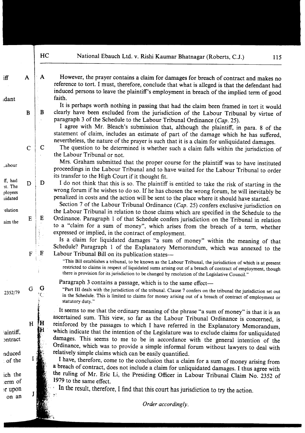B

 $\mathbf C$ 

D

 $E$ 

 $F$ 

G

 $^{\prime}$  (  $^{\prime}$ 

∤H  $H$ 

 $\mathbf{I}$  i

I

 $iff$ 

idant

abour

ff. had

nt. The

ployees

uidated

elation

aim the

 $\overline{B}$ 

 $\overline{C}$ 

D

 $E$ 

 $\overline{F}$ 

G

 $\mathbf{A}$ However, the prayer contains a claim for damages for breach of contract and makes no  $\mathbf{A}$ reference to tort. I must, therefore, conclude that what is alleged is that the defendant had induced persons to leave the plaintiff's employment in breach of the implied term of good faith.

It is perhaps worth nothing in passing that had the claim been framed in tort it would clearly have been excluded from the jurisdiction of the Labour Tribunal by virtue of paragraph 3 of the Schedule to the Labour Tribunal Ordinance (Cap. 25).

I agree with Mr. Bleach's submission that, although the plaintiff, in para. 8 of the statement of claim, includes an estimate of part of the damage which he has suffered, nevertheless, the nature of the prayer is such that it is a claim for unliquidated damages.

The question to be determined is whether such a claim falls within the jurisdiction of the Labour Tribunal or not.

Mrs. Graham submitted that the proper course for the plaintiff was to have instituted proceedings in the Labour Tribunal and to have waited for the Labour Tribunal to order its transfer to the High Court if it thought fit.

I do not think that this is so. The plaintiff is entitled to take the risk of starting in the wrong forum if he wishes to do so. If he has chosen the wrong forum, he will inevitably be penalized in costs and the action will be sent to the place where it should have started.

Section 7 of the Labour Tribunal Ordinance (Cap. 25) confers exclusive jurisdiction on the Labour Tribunal in relation to those claims which are specified in the Schedule to the Ordinance. Paragraph 1 of that Schedule confers jurisdiction on the Tribunal in relation to a "claim for a sum of money", which arises from the breach of a term, whether expressed or implied, in the contract of employment.

Is a claim for liquidated damages "a sum of money" within the meaning of that Schedule? Paragraph 1 of the Explanatory Memorandum, which was annexed to the Labour Tribunal Bill on its publication states-

"This Bill establishes a tribunal, to be known as the Labour Tribunal, the jurisdiction of which is at present restricted to claims in respect of liquidated sums arising out of a breach of contract of employment, though there is provision for its jurisdiction to be changed by resolution of the Legislative Council."

Paragraph 3 contains a passage, which is to the same effect—

"Part III deals with the jurisdiction of the tribunal. Clause 7 confers on the tribunal the jurisdiction set out in the Schedule. This is limited to claims for money arising out of a breach of contract of employment or statutory duty."

It seems to me that the ordinary meaning of the phrase "a sum of money" is that it is an ascertained sum. This view, so far as the Labour Tribunal Ordinance is concerned, is reinforced by the passages to which I have referred in the Explanatory Memorandum, which indicate that the intention of the Legislature was to exclude claims for unliquidated damages. This seems to me to be in accordance with the general intention of the Ordinance, which was to provide a simple informal forum without lawyers to deal with relatively simple claims which can be easily quantified.

I have, therefore, come to the conclusion that a claim for a sum of money arising from a breach of contract, does not include a claim for unliquidated damages. I thus agree with the ruling of Mr. Eric Li, the Presiding Officer in Labour Tribunal Claim No. 2352 of 1979 to the same effect.

In the result, therefore, I find that this court has jurisdiction to try the action.

Order accordingly.

2352/79

aintiff, ontract nduced  $\pm$  of the

ich the erm of or upon on an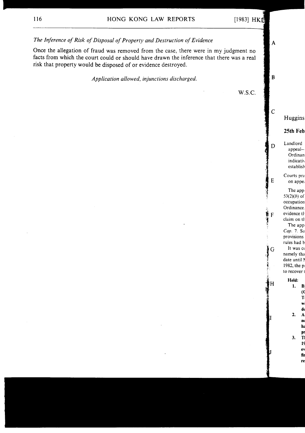

fu re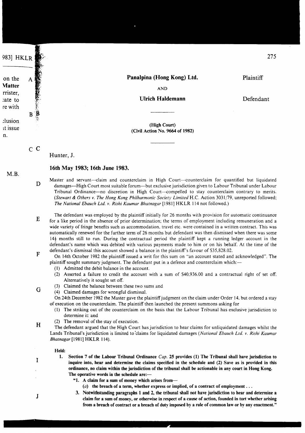9831 HKLR

| on the        |
|---------------|
| <b>Matter</b> |
| rrister,      |
| cate to       |
| re with       |
|               |
| clusion       |
| $-4$          |

it issue n.

Panalpina (Hong Kong) Ltd.

Plaintiff

275

**AND** 

## **Ulrich Haldemann**

Defendant

(High Court) (Civil Action No. 9664 of 1982)

 $\overline{C}$   $\overline{C}$ Hunter, J.

 $\ddot{\mathbf{B}}$  $\overline{\mathbf{R}}$ 

## 16th May 1983; 16th June 1983.

- Master and servant---claim and counterclaim in High Court--counterclaim for quantified but liquidated  $\mathbf{D}$ damages—High Court most suitable forum—but exclusive jurisdiction given to Labour Tribunal under Labour Tribunal Ordinance-no discretion in High Court-compelled to stay counterclaim contrary to merits. (Stewart & Others v. The Hong Kong Philharmonic Society Limited H.C. Action 3031/79, unreported followed; The National Ebauch Ltd. v. Rishi Kaumar Bhatnagar [1981] HKLR 114 not followed.)
- The defendant was employed by the plaintiff initially for 26 months with provision for automatic continuance  $E$ for a like period in the absence of prior determination; the terms of employment including remuneration and a wide variety of fringe benefits such as accommodation, travel etc. were contained in a written contract. This was automatically renewed for the further term of 26 months but defendant was then dismissed when there was some  $14\frac{1}{2}$  months still to run. During the contractual period the plaintiff kept a running ledger account in the defendant's name which was debited with various payments made to him or on his behalf. At the time of the defendant's dismissal this account showed a balance in the plaintiff's favour of \$35,828.02.
	- On 14th October 1982 the plaintiff issued a writ for this sum on "an account stated and acknowledged". The plaintiff sought summary judgment. The defendant put in a defence and counterclaim which:-
		- (1) Admitted the debit balance in the account.
		- (2) Asserted a failure to credit the account with a sum of \$40,936.00 and a contractual right of set off. Alternatively it sought set off.
		- (3) Claimed the balance between these two sums and
		- (4) Claimed damages for wrongful dismissal.

On 24th December 1982 the Master gave the plaintiff judgment on the claim under Order 14, but ordered a stay of execution on the counterclaim. The plaintiff then launched the present summons asking for

- (1) The striking out of the counterclaim on the basis that the Labour Tribunal has exclusive jurisdiction to determine it: and
- (2) The removal of the stay of execution.
- $H$ The defendant argued that the High Court has jurisdiction to hear claims for unliquidated damages whilst the Lands Tribunal's jurisdiction is limited to claims for liquidated damages (National Ebauch Ltd. v. Rishi Kaumar Bhatnagar [1981] HKLR 114).

#### Held:

- $1.$ Section 7 of the Labour Tribunal Ordinance  $Cap.$  25 provides (1) The Tribunal shall have jurisdiction to inquire into, hear and determine the claims specified in the schedule and (2) Save as is provided in this ordinance, no claim within the jurisdiction of the tribunal shall be actionable in any court in Hong Kong. The operative words in the schedule are:-
	- "1. A claim for a sum of money which arises from-
	- (a) the breach of a term, whether express or implied, of a contract of employment ...
	- 3. Notwithstanding paragraphs 1 and 2, the tribunal shall not have jurisdiction to hear and determine a claim for a sum of money, or otherwise in respect of a cause of action, founded in tort whether arising from a breach of contract or a breach of duty imposed by a rule of common law or by any enactment."

 $M.R.$ 

 $\overline{F}$ 

I

 $\mathbf{J}$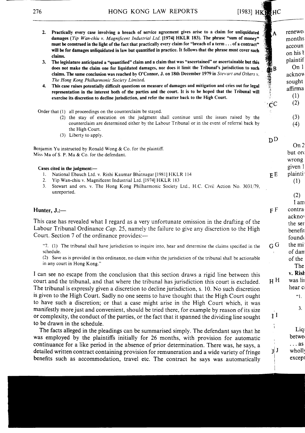HONG KONG LAW REPORTS

# [1983] HKWHC

 $\mathbf{A}$ 

 $\overline{C}$ 

- Practically every case involving a breach of service agreement gives arise to a claim for unliquidated  $2<sup>1</sup>$ damages (Yip Wan-chiu v. Magnificent Industrial Ltd. [1974] HKLR 183). The phrase "sum of monev" must be construed in the light of the fact that practically every claim for "breach of a term . . . of a contract" will be for damages unliquidated in law but quantified in practice. It follows that the phrase must cover such claims.
- 3. The legislature anticipated a "quantified" claim and a claim that was "ascertained" or ascertainable but this does not make the claim one for liquidated damages, nor does it limit the Tribunal's jurisdiction to such claims. The same conclusion was reached by O'Connor, J. on 18th December 1979 in Stewart and Others v. The Hong Kong Philharmonic Society Limited.
- 4. This case raises potentially difficult questions on measure of damages and mitigation and cries out for legal representation in the interest both of the parties and the court. It is to be hoped that the Tribunal will exercise its discretion to decline jurisdiction, and refer the matter back to the High Court.

Order that (1) all proceedings on the counterclaim be stayed.

(2) the stay of execution on the judgment shall continue until the issues raised by the counterclaim are determined either by the Labour Tribunal or in the event of referral back by the High Court.

(3) Liberty to apply.

Benjamin Yu instructed by Ronald Wong  $&$  Co. for the plaintiff. Miss Ma of S. P. Ma & Co. for the defendant.

### Cases cited in the judgment:-

- 1. National Ebauch Ltd. v. Rishi Kaumar Bhatnagar [1981] HKLR 114
- $2^{\circ}$ Yip Wan-chiu v. Magnificent Industrial Ltd. [1974] HKLR 183
- $3.$ Stewart and ors. v. The Hong Kong Philharmonic Society Ltd., H.C. Civil Action No. 3031/79, unreported.

## Hunter, J.:-

This case has revealed what I regard as a very unfortunate omission in the drafting of the Labour Tribunal Ordinance Cap. 25, namely the failure to give any discretion to the High Court. Section 7 of the ordinance provides:—

"7. (1) The tribunal shall have jurisdiction to inquire into, hear and determine the claims specified in the schedule.

(2) Save as is provided in this ordinance, no claim within the jurisdiction of the tribunal shall be actionable in any court in Hong Kong."

I can see no escape from the conclusion that this section draws a rigid line between this court and the tribunal, and that where the tribunal has jurisdiction this court is excluded. The tribunal is expressly given a discretion to decline jurisdiction, s. 10. No such discretion is given to the High Court. Sadly no one seems to have thought that the High Court ought to have such a discretion; or that a case might arise in the High Court which, it was manifestly more just and convenient, should be tried there, for example by reason of its size or complexity, the conduct of the parties, or the fact that it spanned the dividing line sought to be drawn in the schedule.

The facts alleged in the pleadings can be summarised simply. The defendant says that he was employed by the plaintiffs initially for 26 months, with provision for automatic continuance for a like period in the absence of prior determination. There was, he says, a detailed written contract containing provision for remuneration and a wide variety of fringe benefits such as accommodation, travel etc. The contract he says was automatically

renewe months  $accoun$ on his t plaintif  $On<sub>1</sub>$ acknow sought affirma  $(1)$  $(2)$  $(3)$ 

 $D<sub>D</sub>$ 

 $E E$ 

 $F F$ 

 $G$   $G$ 

 $\mathbf{I}$ 

î.

 $JJ$ 

 $On 2$ but ord wrong given 1 plainti<sup>®</sup>

 $(4)$ 

 $(1)$ 

 $(2)$ I am

## contra acknov the ser benefit found the mi

of dan of the The v. Rish

 $3.$ 

"1.

 $Liq$ betwe  $\ldots$  as wholly except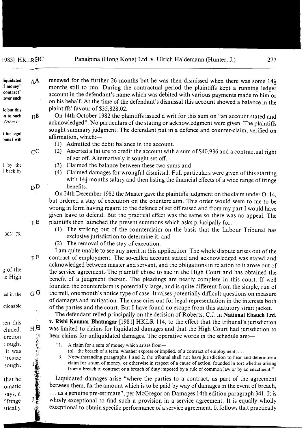$AA$ 

 $R$ **B** 

liquidated

f money"

contract"

:over such

le but this in to such

| Others v.                 |                         | acknowledged". No particulars of t           |
|---------------------------|-------------------------|----------------------------------------------|
|                           |                         | sought summary judgment. The de              |
| t for legal<br>bunal will |                         | affirmation, which:-                         |
|                           |                         | (1)<br>Admitted the debit balance            |
|                           | $\overline{\text{c}}$ C | (2)<br>Asserted a failure to credit tl       |
|                           |                         | of set off. Alternatively it so              |
| by the                    |                         | (3)<br>Claimed the balance betwee            |
| I back by                 |                         | (4)<br>Claimed damages for wrong             |
|                           |                         | with $14\frac{1}{2}$ months salary and       |
|                           | $\mathrm{D}\mathrm{D}$  | benefits.                                    |
|                           |                         | On 24th December 1982 the Mas                |
|                           |                         | but ordered a stay of execution or           |
|                           |                         | wrong in form having regard to the           |
|                           |                         | given leave to defend. But the pra           |
|                           | E E                     | plaintiffs then launched the present         |
|                           |                         | The striking out of the cou<br>(1)           |
| 3031 79.                  |                         | exclusive jurisdiction to dete               |
|                           |                         | The removal of the stay of $\epsilon$<br>(2) |
|                           |                         | I am quite unable to see any mer.            |
|                           | F F                     | contract of employment. The so-ca            |
|                           |                         | acknowledged between master and              |
| 3 of the                  |                         | the service agreement. The plaintif          |
| ie High                   |                         | benefit of a judgment therein. Th            |
|                           |                         | founded the counterclaim is potent           |
| ed in the                 | $_{\rm G}$ G            | the mill, one month's notice type of         |
|                           |                         | of damages and mitigation. The ca            |
| ctionable                 |                         | of the parties and the court. But I          |
|                           |                         | The defendant relied principally             |
| en this                   |                         | v. Rishi Kaumar Bhatnagar [1981]             |
| cluded.                   | $_{\rm H}$ H            | was limited to claims for liquidate          |
| cretion                   |                         | hear claims for unliquidated dama,           |
| t ought                   |                         | "1.<br>A claim for a sum of money which      |
| it was                    |                         | (a) the breach of a term, whether            |
| its size                  |                         | 3.<br>Notwithstanding paragraphs 1 an        |
| sought                    |                         | claim for a sum of money, or othe            |
|                           |                         | from a breach of contract or a bre           |
| that he                   |                         | Liquidated damages arise "whe                |
| omatic                    |                         | between them, fix the amount which           |
| says, a                   |                         | $\ldots$ as a genuine pre-estimate", per l   |
| f fringe                  |                         | wholly exceptional to find such a            |
| atically                  |                         | exceptional to obtain specific perfor        |
|                           |                         |                                              |
|                           |                         |                                              |
|                           |                         |                                              |
|                           |                         |                                              |

| renewed for the further 26 months but he was then dismissed when there was some $14\frac{1}{2}$ |
|-------------------------------------------------------------------------------------------------|
| months still to run. During the contractual period the plaintiffs kept a running ledger         |
| account in the defendant's name which was debited with various payments made to him or          |
| on his behalf. At the time of the defendant's dismissal this account showed a balance in the    |
| plaintiffs' favour of \$35,828.02.                                                              |
| On 14th October 1982 the plaintiffs issued a writ for this sum on "an account stated and        |
| acknowledged". No particulars of the stating or acknowledgment were given. The plaintiffs       |

ffs. fendant put in a defence and counter-claim, verified on

- in the account.
- he account with a sum of \$40,936 and a contractual right ought set off.
- n these two sums and
- gful dismissal. Full particulars were given of this starting then listing the financial effects of a wide range of fringe

ter gave the plaintiffs judgment on the claim under O. 14, i the counterclaim. This order would seem to me to be defence of set off raised and from my part I would have ctical effect was the same so there was no appeal. The t summons which asks principally for:-

- unterclaim on the basis that the Labour Tribunal has ermine it: and
- execution.

it in this application. The whole dispute arises out of the alled account stated and acknowledged was stated and servant, and the obligations in relation to it arose out of ff chose to sue in the High Court and has obtained the e pleadings are nearly complete in this court. If well tially large, and is quite different from the simple, run of f case. It raises potentially difficult questions on measure se cries out for legal representation in the interests both have found no escape from this statutory strait jacket.

on the decision of Roberts, C.J. in National Ebauch Ltd. HKLR 114, to the effect that the tribunal's jurisdiction d damages and that the High Court had jurisdiction to ges. The operative words in the schedule are:—

- h arises from-
- express or implied, of a contract of employment, ...

ad 2, the tribunal shall not have jurisdiction to hear and determine a erwise in respect of a cause of action, founded in tort whether arising each of duty imposed by a rule of common law or by an enactment."

re the parties to a contract, as part of the agreement h is to be paid by way of damages in the event of breach, McGregor on Damages 14th edition paragraph 341. It is provision in a service agreement. It is equally wholly rmance of a service agreement. It follows that practically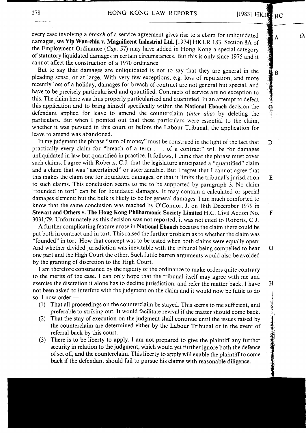À

 $\overline{B}$ 

D

 $E$ 

F

G

H

 $\overline{O}$ 

every case involving a *breach* of a service agreement gives rise to a claim for unliquidated damages, see Yip Wan-chiu v. Magnificent Industrial Ltd. [1974] HKLR 183. Section 8A of the Employment Ordinance (Cap. 57) may have added in Hong Kong a special category of statutory liquidated damages in certain circumstances. But this is only since 1975 and it cannot affect the construction of a 1970 ordinance.

But to say that damages are unliquidated is not to say that they are general in the pleading sense, or at large. With very few exceptions, e.g. loss of reputation, and more recently loss of a holiday, damages for breach of contract are not general but special, and have to be precisely particularised and quantified. Contracts of service are no exception to this. The claim here was thus properly particularised and quantified. In an attempt to defeat this application and to bring himself specifically within the National Ebauch decision the defendant applied for leave to amend the counterclaim (inter alia) by deleting the particulars. But when I pointed out that these particulars were essential to the claim, whether it was pursued in this court or before the Labour Tribunal, the application for leave to amend was abandoned.

In my judgment the phrase "sum of money" must be construed in the light of the fact that practically every claim for "breach of a term . . . of a contract" will be for damages unliquidated in law but quantified in practice. It follows, I think that the phrase must cover such claims. I agree with Roberts, C.J. that the legislature anticipated a "quantified" claim and a claim that was "ascertained" or ascertainable. But I regret that I cannot agree that this makes the claim one for liquidated damages, or that it limits the tribunal's jurisdiction to such claims. This conclusion seems to me to be supported by paragraph 3. No claim "founded in tort" can be for liquidated damages. It may contain a calculated or special damages element; but the bulk is likely to be for general damages. I am much comforted to know that the same conclusion was reached by O'Connor, J. on 18th December 1979 in Stewart and Others v. The Hong Kong Philharmonic Society Limited H.C. Civil Action No. 3031/79. Unfortunately as this decision was not reported, it was not cited to Roberts, C.J.

A further complicating feature arose in National Ebauch because the claim there could be put both in contract and in tort. This raised the further problem as to whether the claim was "founded" in tort: How that concept was to be tested when both claims were equally open: And whether divided jurisdiction was inevitable with the tribunal being compelled to hear one part and the High Court the other. Such futile barren arguments would also be avoided by the granting of discretion to the High Court.

I am therefore constrained by the rigidity of the ordinance to make orders quite contrary to the merits of the case. I can only hope that the tribunal itself may agree with me and exercise the discretion it alone has to decline jurisdiction, and refer the matter back. I have not been asked to interfere with the judgment on the claim and it would now be futile to do so. I now order:-

- (1) That all proceedings on the counterclaim be stayed. This seems to me sufficient, and preferable to striking out. It would facilitate revival if the matter should come back.
- (2) That the stay of execution on the judgment shall continue until the issues raised by the counterclaim are determined either by the Labour Tribunal or in the event of referral back by this court.
- (3) There is to be liberty to apply. I am not prepared to give the plaintiff any further security in relation to the judgment, which would yet further ignore both the defence of set off, and the counterclaim. This liberty to apply will enable the plaintiff to come back if the defendant should fail to pursue his claims with reasonable diligence.